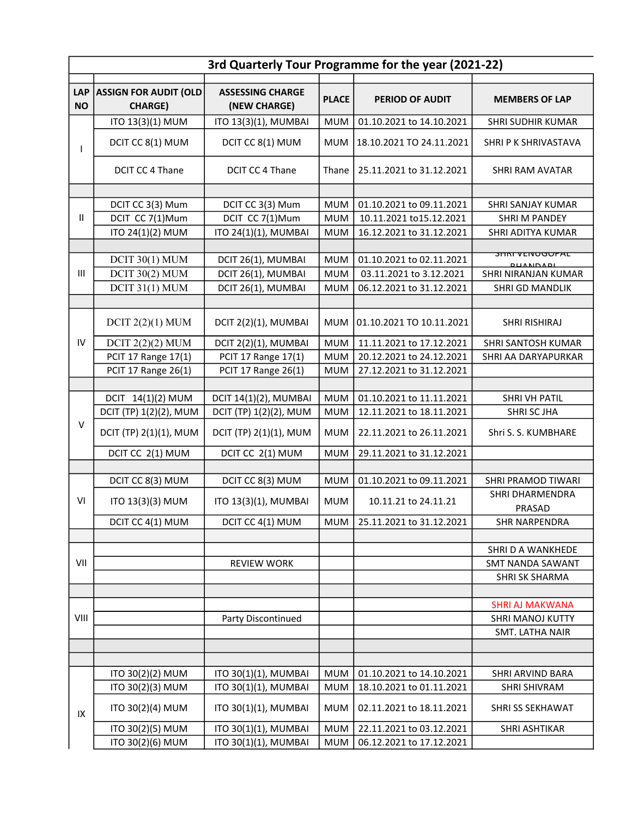| 3rd Quarterly Tour Programme for the year (2021-22) |                                                |                                              |                          |                                                      |                                               |  |  |
|-----------------------------------------------------|------------------------------------------------|----------------------------------------------|--------------------------|------------------------------------------------------|-----------------------------------------------|--|--|
| <b>LAP</b><br><b>NO</b>                             | <b>ASSIGN FOR AUDIT (OLD</b><br><b>CHARGE)</b> | <b>ASSESSING CHARGE</b><br>(NEW CHARGE)      | <b>PLACE</b>             | <b>PERIOD OF AUDIT</b>                               | <b>MEMBERS OF LAP</b>                         |  |  |
|                                                     | ITO 13(3)(1) MUM                               | ITO 13(3)(1), MUMBAI                         | <b>MUM</b>               | 01.10.2021 to 14.10.2021                             | <b>SHRI SUDHIR KUMAR</b>                      |  |  |
|                                                     | DCIT CC 8(1) MUM                               | DCIT CC 8(1) MUM                             | <b>MUM</b>               | 18.10.2021 TO 24.11.2021                             | SHRI P K SHRIVASTAVA                          |  |  |
|                                                     | DCIT CC 4 Thane                                | DCIT CC 4 Thane                              | Thane                    | 25.11.2021 to 31.12.2021                             | <b>SHRI RAM AVATAR</b>                        |  |  |
|                                                     |                                                |                                              |                          |                                                      |                                               |  |  |
|                                                     | DCIT CC 3(3) Mum                               | DCIT CC 3(3) Mum                             | <b>MUM</b>               | 01.10.2021 to 09.11.2021                             | SHRI SANJAY KUMAR                             |  |  |
| $\mathbf{H}$                                        | DCIT CC 7(1)Mum                                | DCIT CC 7(1)Mum                              | <b>MUM</b>               | 10.11.2021 to15.12.2021                              | <b>SHRIM PANDEY</b>                           |  |  |
|                                                     | ITO 24(1)(2) MUM                               | ITO 24(1)(1), MUMBAI                         | <b>MUM</b>               | 16.12.2021 to 31.12.2021                             | SHRI ADITYA KUMAR                             |  |  |
|                                                     |                                                |                                              |                          |                                                      | <del>JIINI VEIVUUUPAL</del>                   |  |  |
| $\mathbf{III}$                                      | DCIT $30(1)$ MUM<br>DCIT 30(2) MUM             | DCIT 26(1), MUMBAI<br>DCIT 26(1), MUMBAI     | <b>MUM</b><br><b>MUM</b> | 01.10.2021 to 02.11.2021<br>03.11.2021 to 3.12.2021  | <b>DUANDADI</b><br><b>SHRI NIRANJAN KUMAR</b> |  |  |
|                                                     | $DCIT$ 31(1) MUM                               | DCIT 26(1), MUMBAI                           | <b>MUM</b>               | 06.12.2021 to 31.12.2021                             | <b>SHRI GD MANDLIK</b>                        |  |  |
|                                                     |                                                |                                              |                          |                                                      |                                               |  |  |
|                                                     | DCIT $2(2)(1)$ MUM                             | DCIT 2(2)(1), MUMBAI                         | <b>MUM</b>               | 01.10.2021 TO 10.11.2021                             | SHRI RISHIRAJ                                 |  |  |
| IV                                                  | DCIT $2(2)(2)$ MUM                             | DCIT 2(2)(1), MUMBAI                         | <b>MUM</b>               | 11.11.2021 to 17.12.2021                             | SHRI SANTOSH KUMAR                            |  |  |
|                                                     | PCIT 17 Range 17(1)                            | PCIT 17 Range 17(1)                          | <b>MUM</b>               | 20.12.2021 to 24.12.2021                             | SHRI AA DARYAPURKAR                           |  |  |
|                                                     | PCIT 17 Range 26(1)                            | PCIT 17 Range 26(1)                          | <b>MUM</b>               | 27.12.2021 to 31.12.2021                             |                                               |  |  |
|                                                     |                                                |                                              |                          |                                                      |                                               |  |  |
|                                                     | DCIT 14(1)(2) MUM                              | DCIT 14(1)(2), MUMBAI                        | <b>MUM</b>               | 01.10.2021 to 11.11.2021                             | <b>SHRIVH PATIL</b>                           |  |  |
|                                                     | DCIT (TP) 1(2)(2), MUM                         | DCIT (TP) 1(2)(2), MUM                       | <b>MUM</b>               | 12.11.2021 to 18.11.2021                             | SHRI SC JHA                                   |  |  |
| $\vee$                                              | DCIT (TP) 2(1)(1), MUM                         | DCIT (TP) 2(1)(1), MUM                       | <b>MUM</b>               | 22.11.2021 to 26.11.2021                             | Shri S. S. KUMBHARE                           |  |  |
|                                                     | DCIT CC 2(1) MUM                               | DCIT CC 2(1) MUM                             | <b>MUM</b>               | 29.11.2021 to 31.12.2021                             |                                               |  |  |
|                                                     |                                                |                                              |                          |                                                      |                                               |  |  |
|                                                     | DCIT CC 8(3) MUM                               | DCIT CC 8(3) MUM                             | <b>MUM</b>               | 01.10.2021 to 09.11.2021                             | SHRI PRAMOD TIWARI                            |  |  |
| VI                                                  | ITO 13(3)(3) MUM                               | ITO 13(3)(1), MUMBAI                         | <b>MUM</b>               | 10.11.21 to 24.11.21                                 | SHRI DHARMENDRA<br>PRASAD                     |  |  |
|                                                     | DCIT CC 4(1) MUM                               | DCIT CC 4(1) MUM                             | <b>MUM</b>               | 25.11.2021 to 31.12.2021                             | <b>SHR NARPENDRA</b>                          |  |  |
|                                                     |                                                |                                              |                          |                                                      |                                               |  |  |
|                                                     |                                                |                                              |                          |                                                      | SHRI D A WANKHEDE                             |  |  |
| VII                                                 |                                                | <b>REVIEW WORK</b>                           |                          |                                                      | SMT NANDA SAWANT                              |  |  |
|                                                     |                                                |                                              |                          |                                                      | <b>SHRI SK SHARMA</b>                         |  |  |
|                                                     |                                                |                                              |                          |                                                      |                                               |  |  |
| VIII                                                |                                                |                                              |                          |                                                      | <b>SHRI AJ MAKWANA</b>                        |  |  |
|                                                     |                                                | Party Discontinued                           |                          |                                                      | <b>SHRI MANOJ KUTTY</b>                       |  |  |
|                                                     |                                                |                                              |                          |                                                      | SMT. LATHA NAIR                               |  |  |
|                                                     |                                                |                                              |                          |                                                      |                                               |  |  |
|                                                     | ITO 30(2)(2) MUM                               | ITO 30(1)(1), MUMBAI                         | <b>MUM</b>               | 01.10.2021 to 14.10.2021                             | SHRI ARVIND BARA                              |  |  |
| IX                                                  | ITO 30(2)(3) MUM                               | ITO 30(1)(1), MUMBAI                         | <b>MUM</b>               | 18.10.2021 to 01.11.2021                             | <b>SHRI SHIVRAM</b>                           |  |  |
|                                                     | ITO 30(2)(4) MUM                               | ITO 30(1)(1), MUMBAI                         | <b>MUM</b>               | 02.11.2021 to 18.11.2021                             | SHRI SS SEKHAWAT                              |  |  |
|                                                     |                                                |                                              |                          |                                                      |                                               |  |  |
|                                                     | ITO 30(2)(5) MUM<br>ITO 30(2)(6) MUM           | ITO 30(1)(1), MUMBAI<br>ITO 30(1)(1), MUMBAI | <b>MUM</b><br><b>MUM</b> | 22.11.2021 to 03.12.2021<br>06.12.2021 to 17.12.2021 | SHRI ASHTIKAR                                 |  |  |
|                                                     |                                                |                                              |                          |                                                      |                                               |  |  |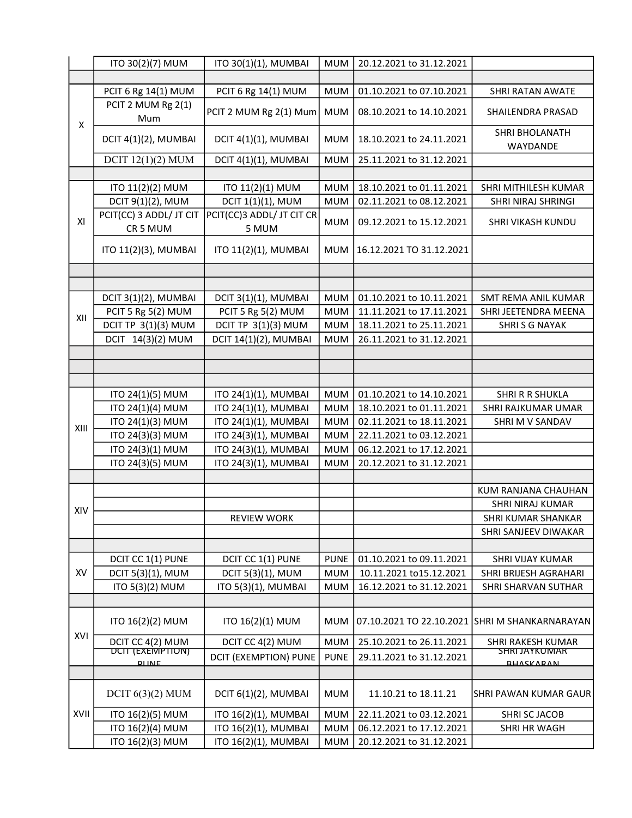|      | ITO 30(2)(7) MUM                              | ITO 30(1)(1), MUMBAI         | <b>MUM</b>  | 20.12.2021 to 31.12.2021 |                                           |
|------|-----------------------------------------------|------------------------------|-------------|--------------------------|-------------------------------------------|
|      |                                               |                              |             |                          |                                           |
| X    | PCIT 6 Rg 14(1) MUM                           | PCIT 6 Rg 14(1) MUM          | <b>MUM</b>  | 01.10.2021 to 07.10.2021 | <b>SHRI RATAN AWATE</b>                   |
|      | PCIT 2 MUM Rg 2(1)<br>Mum                     | PCIT 2 MUM Rg 2(1) Mum       | <b>MUM</b>  | 08.10.2021 to 14.10.2021 | SHAILENDRA PRASAD                         |
|      | DCIT 4(1)(2), MUMBAI                          | DCIT 4(1)(1), MUMBAI         | <b>MUM</b>  | 18.10.2021 to 24.11.2021 | SHRI BHOLANATH<br>WAYDANDE                |
|      | DCIT $12(1)(2)$ MUM                           | DCIT 4(1)(1), MUMBAI         | <b>MUM</b>  | 25.11.2021 to 31.12.2021 |                                           |
|      |                                               |                              |             |                          |                                           |
|      | ITO 11(2)(2) MUM                              | ITO 11(2)(1) MUM             | <b>MUM</b>  | 18.10.2021 to 01.11.2021 | SHRI MITHILESH KUMAR                      |
|      | DCIT 9(1)(2), MUM                             | DCIT 1(1)(1), MUM            | <b>MUM</b>  | 02.11.2021 to 08.12.2021 | SHRI NIRAJ SHRINGI                        |
| XI   | PCIT(CC) 3 ADDL/ JT CIT                       | PCIT(CC)3 ADDL/ JT CIT CR    |             |                          |                                           |
|      | CR 5 MUM                                      | 5 MUM                        | <b>MUM</b>  | 09.12.2021 to 15.12.2021 | SHRI VIKASH KUNDU                         |
|      | ITO 11(2)(3), MUMBAI                          | ITO 11(2)(1), MUMBAI         | <b>MUM</b>  | 16.12.2021 TO 31.12.2021 |                                           |
|      |                                               |                              |             |                          |                                           |
|      |                                               |                              |             |                          |                                           |
|      | DCIT 3(1)(2), MUMBAI                          | DCIT 3(1)(1), MUMBAI         | <b>MUM</b>  | 01.10.2021 to 10.11.2021 | SMT REMA ANIL KUMAR                       |
| XII  | PCIT 5 Rg 5(2) MUM                            | PCIT 5 Rg 5(2) MUM           | <b>MUM</b>  | 11.11.2021 to 17.11.2021 | SHRI JEETENDRA MEENA                      |
|      | <b>DCIT TP 3(1)(3) MUM</b>                    | DCIT TP 3(1)(3) MUM          | <b>MUM</b>  | 18.11.2021 to 25.11.2021 | <b>SHRISG NAYAK</b>                       |
|      | DCIT 14(3)(2) MUM                             | DCIT 14(1)(2), MUMBAI        | <b>MUM</b>  | 26.11.2021 to 31.12.2021 |                                           |
|      |                                               |                              |             |                          |                                           |
|      |                                               |                              |             |                          |                                           |
|      |                                               |                              |             |                          |                                           |
|      | ITO 24(1)(5) MUM                              | ITO 24(1)(1), MUMBAI         | <b>MUM</b>  | 01.10.2021 to 14.10.2021 | SHRI R R SHUKLA                           |
|      | ITO 24(1)(4) MUM                              | ITO 24(1)(1), MUMBAI         | <b>MUM</b>  | 18.10.2021 to 01.11.2021 | SHRI RAJKUMAR UMAR                        |
| XIII | ITO 24(1)(3) MUM                              | ITO 24(1)(1), MUMBAI         | <b>MUM</b>  | 02.11.2021 to 18.11.2021 | SHRI M V SANDAV                           |
|      | ITO 24(3)(3) MUM                              | ITO 24(3)(1), MUMBAI         | <b>MUM</b>  | 22.11.2021 to 03.12.2021 |                                           |
|      | ITO 24(3)(1) MUM                              | ITO 24(3)(1), MUMBAI         | <b>MUM</b>  | 06.12.2021 to 17.12.2021 |                                           |
|      | ITO 24(3)(5) MUM                              | ITO 24(3)(1), MUMBAI         | <b>MUM</b>  | 20.12.2021 to 31.12.2021 |                                           |
|      |                                               |                              |             |                          |                                           |
|      |                                               |                              |             |                          | KUM RANJANA CHAUHAN                       |
| XIV  |                                               |                              |             |                          | SHRI NIRAJ KUMAR                          |
|      |                                               | <b>REVIEW WORK</b>           |             |                          | SHRI KUMAR SHANKAR                        |
|      |                                               |                              |             |                          | SHRI SANJEEV DIWAKAR                      |
|      | DCIT CC 1(1) PUNE                             | DCIT CC 1(1) PUNE            | <b>PUNE</b> | 01.10.2021 to 09.11.2021 | <b>SHRI VIJAY KUMAR</b>                   |
| XV   | DCIT 5(3)(1), MUM                             | DCIT 5(3)(1), MUM            | <b>MUM</b>  | 10.11.2021 to15.12.2021  | SHRI BRIJESH AGRAHARI                     |
|      | ITO 5(3)(2) MUM                               | ITO 5(3)(1), MUMBAI          | <b>MUM</b>  | 16.12.2021 to 31.12.2021 | SHRI SHARVAN SUTHAR                       |
|      |                                               |                              |             |                          |                                           |
|      |                                               |                              |             |                          |                                           |
| XVI  | ITO 16(2)(2) MUM                              | ITO 16(2)(1) MUM             | <b>MUM</b>  | 07.10.2021 TO 22.10.2021 | SHRI M SHANKARNARAYAN                     |
|      | DCIT CC 4(2) MUM<br><u> תוכור ודאפזן דוסט</u> | DCIT CC 4(2) MUM             | <b>MUM</b>  | 25.10.2021 to 26.11.2021 | SHRI RAKESH KUMAR<br><b>SHRI JAYKUMAR</b> |
|      | <b>DLINE</b>                                  | <b>DCIT (EXEMPTION) PUNE</b> | <b>PUNE</b> | 29.11.2021 to 31.12.2021 | RHASKARAN                                 |
|      |                                               |                              |             |                          |                                           |
| XVII | DCIT $6(3)(2)$ MUM                            | DCIT 6(1)(2), MUMBAI         | <b>MUM</b>  | 11.10.21 to 18.11.21     | ISHRI PAWAN KUMAR GAURI                   |
|      | ITO 16(2)(5) MUM                              | ITO 16(2)(1), MUMBAI         | <b>MUM</b>  | 22.11.2021 to 03.12.2021 | SHRI SC JACOB                             |
|      | ITO 16(2)(4) MUM                              | ITO 16(2)(1), MUMBAI         | <b>MUM</b>  | 06.12.2021 to 17.12.2021 | SHRI HR WAGH                              |
|      | ITO 16(2)(3) MUM                              | ITO 16(2)(1), MUMBAI         | <b>MUM</b>  | 20.12.2021 to 31.12.2021 |                                           |